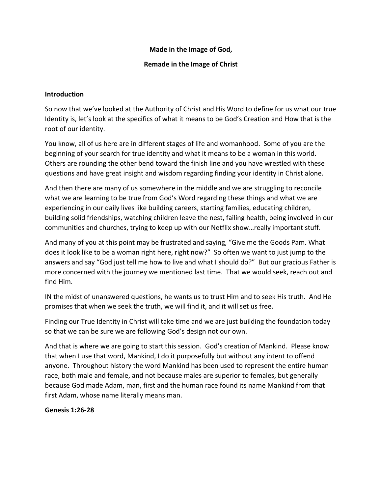#### **Made in the Image of God,**

#### **Remade in the Image of Christ**

#### **Introduction**

So now that we've looked at the Authority of Christ and His Word to define for us what our true Identity is, let's look at the specifics of what it means to be God's Creation and How that is the root of our identity.

You know, all of us here are in different stages of life and womanhood. Some of you are the beginning of your search for true identity and what it means to be a woman in this world. Others are rounding the other bend toward the finish line and you have wrestled with these questions and have great insight and wisdom regarding finding your identity in Christ alone.

And then there are many of us somewhere in the middle and we are struggling to reconcile what we are learning to be true from God's Word regarding these things and what we are experiencing in our daily lives like building careers, starting families, educating children, building solid friendships, watching children leave the nest, failing health, being involved in our communities and churches, trying to keep up with our Netflix show…really important stuff.

And many of you at this point may be frustrated and saying, "Give me the Goods Pam. What does it look like to be a woman right here, right now?" So often we want to just jump to the answers and say "God just tell me how to live and what I should do?" But our gracious Father is more concerned with the journey we mentioned last time. That we would seek, reach out and find Him.

IN the midst of unanswered questions, he wants us to trust Him and to seek His truth. And He promises that when we seek the truth, we will find it, and it will set us free.

Finding our True Identity in Christ will take time and we are just building the foundation today so that we can be sure we are following God's design not our own.

And that is where we are going to start this session. God's creation of Mankind. Please know that when I use that word, Mankind, I do it purposefully but without any intent to offend anyone. Throughout history the word Mankind has been used to represent the entire human race, both male and female, and not because males are superior to females, but generally because God made Adam, man, first and the human race found its name Mankind from that first Adam, whose name literally means man.

# **Genesis 1:26-28**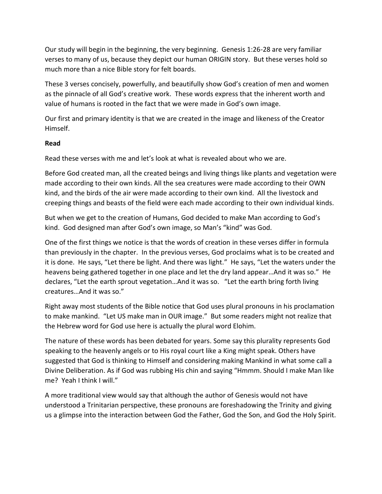Our study will begin in the beginning, the very beginning. Genesis 1:26-28 are very familiar verses to many of us, because they depict our human ORIGIN story. But these verses hold so much more than a nice Bible story for felt boards.

These 3 verses concisely, powerfully, and beautifully show God's creation of men and women as the pinnacle of all God's creative work. These words express that the inherent worth and value of humans is rooted in the fact that we were made in God's own image.

Our first and primary identity is that we are created in the image and likeness of the Creator Himself.

# **Read**

Read these verses with me and let's look at what is revealed about who we are.

Before God created man, all the created beings and living things like plants and vegetation were made according to their own kinds. All the sea creatures were made according to their OWN kind, and the birds of the air were made according to their own kind. All the livestock and creeping things and beasts of the field were each made according to their own individual kinds.

But when we get to the creation of Humans, God decided to make Man according to God's kind. God designed man after God's own image, so Man's "kind" was God.

One of the first things we notice is that the words of creation in these verses differ in formula than previously in the chapter. In the previous verses, God proclaims what is to be created and it is done. He says, "Let there be light. And there was light." He says, "Let the waters under the heavens being gathered together in one place and let the dry land appear…And it was so." He declares, "Let the earth sprout vegetation…And it was so. "Let the earth bring forth living creatures…And it was so."

Right away most students of the Bible notice that God uses plural pronouns in his proclamation to make mankind. "Let US make man in OUR image." But some readers might not realize that the Hebrew word for God use here is actually the plural word Elohim.

The nature of these words has been debated for years. Some say this plurality represents God speaking to the heavenly angels or to His royal court like a King might speak. Others have suggested that God is thinking to Himself and considering making Mankind in what some call a Divine Deliberation. As if God was rubbing His chin and saying "Hmmm. Should I make Man like me? Yeah I think I will."

A more traditional view would say that although the author of Genesis would not have understood a Trinitarian perspective, these pronouns are foreshadowing the Trinity and giving us a glimpse into the interaction between God the Father, God the Son, and God the Holy Spirit.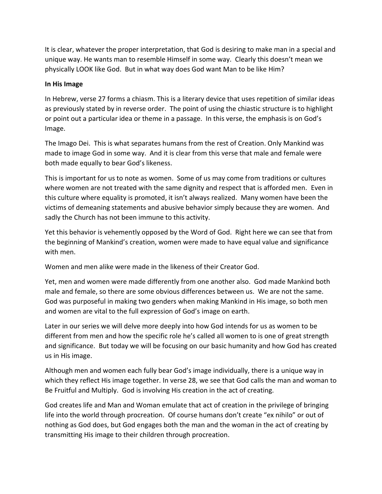It is clear, whatever the proper interpretation, that God is desiring to make man in a special and unique way. He wants man to resemble Himself in some way. Clearly this doesn't mean we physically LOOK like God. But in what way does God want Man to be like Him?

#### **In His Image**

In Hebrew, verse 27 forms a chiasm. This is a literary device that uses repetition of similar ideas as previously stated by in reverse order. The point of using the chiastic structure is to highlight or point out a particular idea or theme in a passage. In this verse, the emphasis is on God's Image.

The Imago Dei. This is what separates humans from the rest of Creation. Only Mankind was made to image God in some way. And it is clear from this verse that male and female were both made equally to bear God's likeness.

This is important for us to note as women. Some of us may come from traditions or cultures where women are not treated with the same dignity and respect that is afforded men. Even in this culture where equality is promoted, it isn't always realized. Many women have been the victims of demeaning statements and abusive behavior simply because they are women. And sadly the Church has not been immune to this activity.

Yet this behavior is vehemently opposed by the Word of God. Right here we can see that from the beginning of Mankind's creation, women were made to have equal value and significance with men.

Women and men alike were made in the likeness of their Creator God.

Yet, men and women were made differently from one another also. God made Mankind both male and female, so there are some obvious differences between us. We are not the same. God was purposeful in making two genders when making Mankind in His image, so both men and women are vital to the full expression of God's image on earth.

Later in our series we will delve more deeply into how God intends for us as women to be different from men and how the specific role he's called all women to is one of great strength and significance. But today we will be focusing on our basic humanity and how God has created us in His image.

Although men and women each fully bear God's image individually, there is a unique way in which they reflect His image together. In verse 28, we see that God calls the man and woman to Be Fruitful and Multiply. God is involving His creation in the act of creating.

God creates life and Man and Woman emulate that act of creation in the privilege of bringing life into the world through procreation. Of course humans don't create "ex nihilo" or out of nothing as God does, but God engages both the man and the woman in the act of creating by transmitting His image to their children through procreation.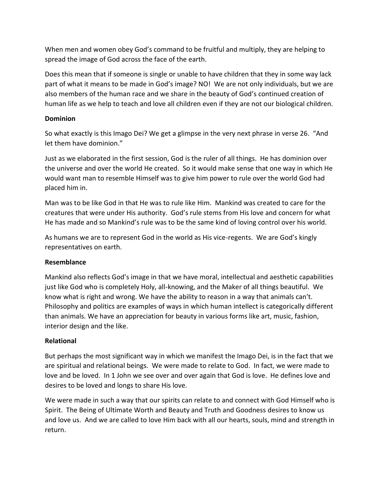When men and women obey God's command to be fruitful and multiply, they are helping to spread the image of God across the face of the earth.

Does this mean that if someone is single or unable to have children that they in some way lack part of what it means to be made in God's image? NO! We are not only individuals, but we are also members of the human race and we share in the beauty of God's continued creation of human life as we help to teach and love all children even if they are not our biological children.

#### **Dominion**

So what exactly is this Imago Dei? We get a glimpse in the very next phrase in verse 26. "And let them have dominion."

Just as we elaborated in the first session, God is the ruler of all things. He has dominion over the universe and over the world He created. So it would make sense that one way in which He would want man to resemble Himself was to give him power to rule over the world God had placed him in.

Man was to be like God in that He was to rule like Him. Mankind was created to care for the creatures that were under His authority. God's rule stems from His love and concern for what He has made and so Mankind's rule was to be the same kind of loving control over his world.

As humans we are to represent God in the world as His vice-regents. We are God's kingly representatives on earth.

# **Resemblance**

Mankind also reflects God's image in that we have moral, intellectual and aesthetic capabilities just like God who is completely Holy, all-knowing, and the Maker of all things beautiful. We know what is right and wrong. We have the ability to reason in a way that animals can't. Philosophy and politics are examples of ways in which human intellect is categorically different than animals. We have an appreciation for beauty in various forms like art, music, fashion, interior design and the like.

# **Relational**

But perhaps the most significant way in which we manifest the Imago Dei, is in the fact that we are spiritual and relational beings. We were made to relate to God. In fact, we were made to love and be loved. In 1 John we see over and over again that God is love. He defines love and desires to be loved and longs to share His love.

We were made in such a way that our spirits can relate to and connect with God Himself who is Spirit. The Being of Ultimate Worth and Beauty and Truth and Goodness desires to know us and love us. And we are called to love Him back with all our hearts, souls, mind and strength in return.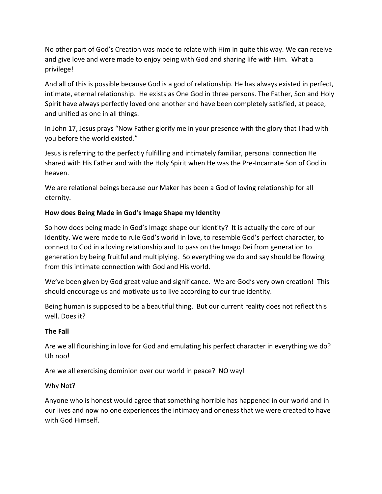No other part of God's Creation was made to relate with Him in quite this way. We can receive and give love and were made to enjoy being with God and sharing life with Him. What a privilege!

And all of this is possible because God is a god of relationship. He has always existed in perfect, intimate, eternal relationship. He exists as One God in three persons. The Father, Son and Holy Spirit have always perfectly loved one another and have been completely satisfied, at peace, and unified as one in all things.

In John 17, Jesus prays "Now Father glorify me in your presence with the glory that I had with you before the world existed."

Jesus is referring to the perfectly fulfilling and intimately familiar, personal connection He shared with His Father and with the Holy Spirit when He was the Pre-Incarnate Son of God in heaven.

We are relational beings because our Maker has been a God of loving relationship for all eternity.

# **How does Being Made in God's Image Shape my Identity**

So how does being made in God's Image shape our identity? It is actually the core of our Identity. We were made to rule God's world in love, to resemble God's perfect character, to connect to God in a loving relationship and to pass on the Imago Dei from generation to generation by being fruitful and multiplying. So everything we do and say should be flowing from this intimate connection with God and His world.

We've been given by God great value and significance. We are God's very own creation! This should encourage us and motivate us to live according to our true identity.

Being human is supposed to be a beautiful thing. But our current reality does not reflect this well. Does it?

# **The Fall**

Are we all flourishing in love for God and emulating his perfect character in everything we do? Uh noo!

Are we all exercising dominion over our world in peace? NO way!

# Why Not?

Anyone who is honest would agree that something horrible has happened in our world and in our lives and now no one experiences the intimacy and oneness that we were created to have with God Himself.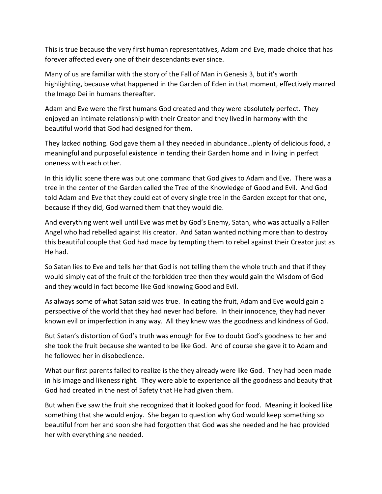This is true because the very first human representatives, Adam and Eve, made choice that has forever affected every one of their descendants ever since.

Many of us are familiar with the story of the Fall of Man in Genesis 3, but it's worth highlighting, because what happened in the Garden of Eden in that moment, effectively marred the Imago Dei in humans thereafter.

Adam and Eve were the first humans God created and they were absolutely perfect. They enjoyed an intimate relationship with their Creator and they lived in harmony with the beautiful world that God had designed for them.

They lacked nothing. God gave them all they needed in abundance…plenty of delicious food, a meaningful and purposeful existence in tending their Garden home and in living in perfect oneness with each other.

In this idyllic scene there was but one command that God gives to Adam and Eve. There was a tree in the center of the Garden called the Tree of the Knowledge of Good and Evil. And God told Adam and Eve that they could eat of every single tree in the Garden except for that one, because if they did, God warned them that they would die.

And everything went well until Eve was met by God's Enemy, Satan, who was actually a Fallen Angel who had rebelled against His creator. And Satan wanted nothing more than to destroy this beautiful couple that God had made by tempting them to rebel against their Creator just as He had.

So Satan lies to Eve and tells her that God is not telling them the whole truth and that if they would simply eat of the fruit of the forbidden tree then they would gain the Wisdom of God and they would in fact become like God knowing Good and Evil.

As always some of what Satan said was true. In eating the fruit, Adam and Eve would gain a perspective of the world that they had never had before. In their innocence, they had never known evil or imperfection in any way. All they knew was the goodness and kindness of God.

But Satan's distortion of God's truth was enough for Eve to doubt God's goodness to her and she took the fruit because she wanted to be like God. And of course she gave it to Adam and he followed her in disobedience.

What our first parents failed to realize is the they already were like God. They had been made in his image and likeness right. They were able to experience all the goodness and beauty that God had created in the nest of Safety that He had given them.

But when Eve saw the fruit she recognized that it looked good for food. Meaning it looked like something that she would enjoy. She began to question why God would keep something so beautiful from her and soon she had forgotten that God was she needed and he had provided her with everything she needed.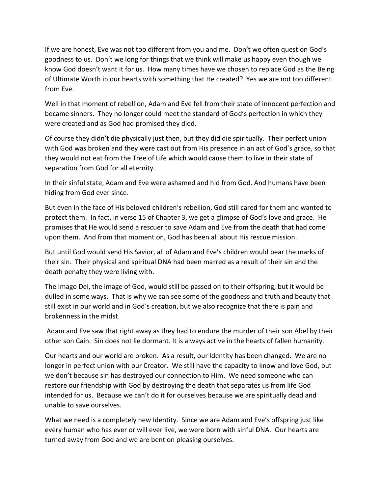If we are honest, Eve was not too different from you and me. Don't we often question God's goodness to us. Don't we long for things that we think will make us happy even though we know God doesn't want it for us. How many times have we chosen to replace God as the Being of Ultimate Worth in our hearts with something that He created? Yes we are not too different from Eve.

Well in that moment of rebellion, Adam and Eve fell from their state of innocent perfection and became sinners. They no longer could meet the standard of God's perfection in which they were created and as God had promised they died.

Of course they didn't die physically just then, but they did die spiritually. Their perfect union with God was broken and they were cast out from His presence in an act of God's grace, so that they would not eat from the Tree of Life which would cause them to live in their state of separation from God for all eternity.

In their sinful state, Adam and Eve were ashamed and hid from God. And humans have been hiding from God ever since.

But even in the face of His beloved children's rebellion, God still cared for them and wanted to protect them. In fact, in verse 15 of Chapter 3, we get a glimpse of God's love and grace. He promises that He would send a rescuer to save Adam and Eve from the death that had come upon them. And from that moment on, God has been all about His rescue mission.

But until God would send His Savior, all of Adam and Eve's children would bear the marks of their sin. Their physical and spiritual DNA had been marred as a result of their sin and the death penalty they were living with.

The Imago Dei, the image of God, would still be passed on to their offspring, but it would be dulled in some ways. That is why we can see some of the goodness and truth and beauty that still exist in our world and in God's creation, but we also recognize that there is pain and brokenness in the midst.

Adam and Eve saw that right away as they had to endure the murder of their son Abel by their other son Cain. Sin does not lie dormant. It is always active in the hearts of fallen humanity.

Our hearts and our world are broken. As a result, our Identity has been changed. We are no longer in perfect union with our Creator. We still have the capacity to know and love God, but we don't because sin has destroyed our connection to Him. We need someone who can restore our friendship with God by destroying the death that separates us from life God intended for us. Because we can't do it for ourselves because we are spiritually dead and unable to save ourselves.

What we need is a completely new Identity. Since we are Adam and Eve's offspring just like every human who has ever or will ever live, we were born with sinful DNA. Our hearts are turned away from God and we are bent on pleasing ourselves.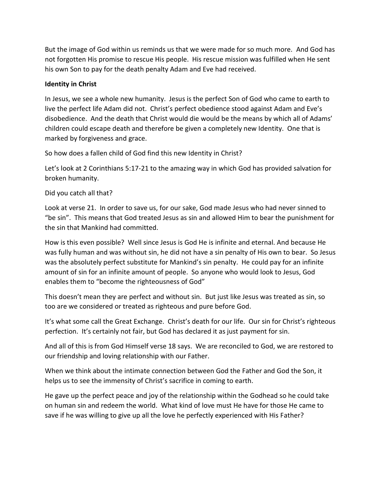But the image of God within us reminds us that we were made for so much more. And God has not forgotten His promise to rescue His people. His rescue mission was fulfilled when He sent his own Son to pay for the death penalty Adam and Eve had received.

#### **Identity in Christ**

In Jesus, we see a whole new humanity. Jesus is the perfect Son of God who came to earth to live the perfect life Adam did not. Christ's perfect obedience stood against Adam and Eve's disobedience. And the death that Christ would die would be the means by which all of Adams' children could escape death and therefore be given a completely new Identity. One that is marked by forgiveness and grace.

So how does a fallen child of God find this new Identity in Christ?

Let's look at 2 Corinthians 5:17-21 to the amazing way in which God has provided salvation for broken humanity.

Did you catch all that?

Look at verse 21. In order to save us, for our sake, God made Jesus who had never sinned to "be sin". This means that God treated Jesus as sin and allowed Him to bear the punishment for the sin that Mankind had committed.

How is this even possible? Well since Jesus is God He is infinite and eternal. And because He was fully human and was without sin, he did not have a sin penalty of His own to bear. So Jesus was the absolutely perfect substitute for Mankind's sin penalty. He could pay for an infinite amount of sin for an infinite amount of people. So anyone who would look to Jesus, God enables them to "become the righteousness of God"

This doesn't mean they are perfect and without sin. But just like Jesus was treated as sin, so too are we considered or treated as righteous and pure before God.

It's what some call the Great Exchange. Christ's death for our life. Our sin for Christ's righteous perfection. It's certainly not fair, but God has declared it as just payment for sin.

And all of this is from God Himself verse 18 says. We are reconciled to God, we are restored to our friendship and loving relationship with our Father.

When we think about the intimate connection between God the Father and God the Son, it helps us to see the immensity of Christ's sacrifice in coming to earth.

He gave up the perfect peace and joy of the relationship within the Godhead so he could take on human sin and redeem the world. What kind of love must He have for those He came to save if he was willing to give up all the love he perfectly experienced with His Father?